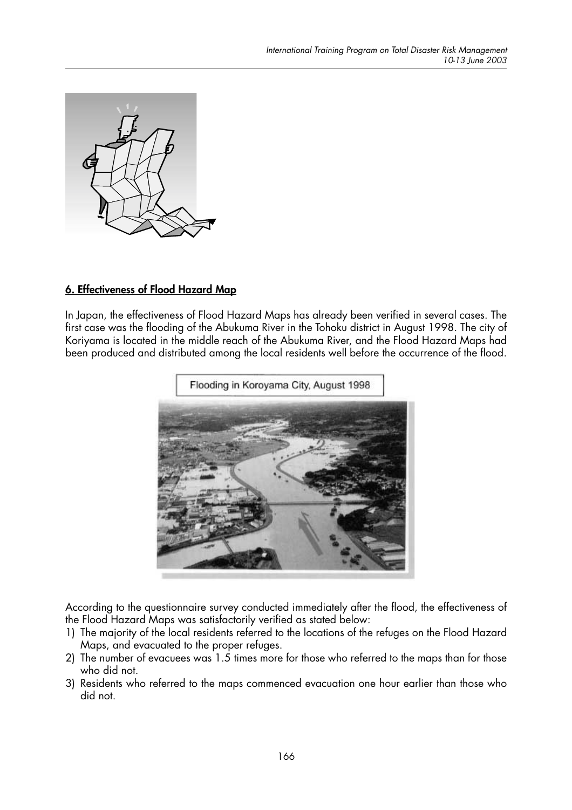

## 6. Effectiveness of Flood Hazard Map

In Japan, the effectiveness of Flood Hazard Maps has already been verified in several cases. The first case was the flooding of the Abukuma River in the Tohoku district in August 1998. The city of Koriyama is located in the middle reach of the Abukuma River, and the Flood Hazard Maps had been produced and distributed among the local residents well before the occurrence of the flood.



According to the questionnaire survey conducted immediately after the flood, the effectiveness of the Flood Hazard Maps was satisfactorily verified as stated below:

- 1) The majority of the local residents referred to the locations of the refuges on the Flood Hazard Maps, and evacuated to the proper refuges.
- 2) The number of evacuees was 1.5 times more for those who referred to the maps than for those who did not.
- 3) Residents who referred to the maps commenced evacuation one hour earlier than those who did not.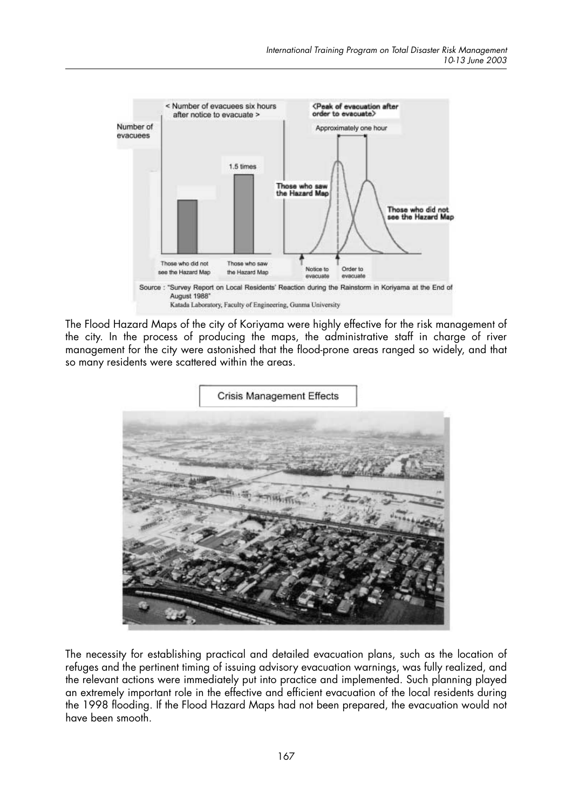

The Flood Hazard Maps of the city of Koriyama were highly effective for the risk management of the city. In the process of producing the maps, the administrative staff in charge of river management for the city were astonished that the flood-prone areas ranged so widely, and that so many residents were scattered within the areas.



The necessity for establishing practical and detailed evacuation plans, such as the location of refuges and the pertinent timing of issuing advisory evacuation warnings, was fully realized, and the relevant actions were immediately put into practice and implemented. Such planning played an extremely important role in the effective and efficient evacuation of the local residents during the 1998 flooding. If the Flood Hazard Maps had not been prepared, the evacuation would not have been smooth.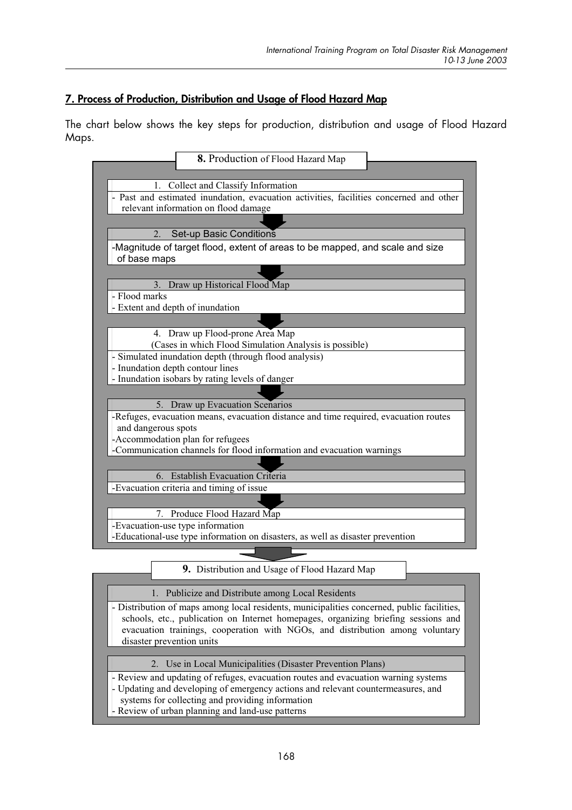# 7. Process of Production, Distribution and Usage of Flood Hazard Map

The chart below shows the key steps for production, distribution and usage of Flood Hazard Maps.



|                                                                                                                                                                                                                                                                                                | 9. Distribution and Usage of Flood Hazard Map              |  |  |  |  |
|------------------------------------------------------------------------------------------------------------------------------------------------------------------------------------------------------------------------------------------------------------------------------------------------|------------------------------------------------------------|--|--|--|--|
|                                                                                                                                                                                                                                                                                                |                                                            |  |  |  |  |
| 1. Publicize and Distribute among Local Residents                                                                                                                                                                                                                                              |                                                            |  |  |  |  |
| - Distribution of maps among local residents, municipalities concerned, public facilities,<br>schools, etc., publication on Internet homepages, organizing briefing sessions and<br>evacuation trainings, cooperation with NGOs, and distribution among voluntary<br>disaster prevention units |                                                            |  |  |  |  |
|                                                                                                                                                                                                                                                                                                | 2. Use in Local Municipalities (Disaster Prevention Plans) |  |  |  |  |
| - Review and updating of refuges, evacuation routes and evacuation warning systems<br>- Updating and developing of emergency actions and relevant countermeasures, and                                                                                                                         |                                                            |  |  |  |  |
| systems for collecting and providing information                                                                                                                                                                                                                                               |                                                            |  |  |  |  |
|                                                                                                                                                                                                                                                                                                | - Review of urban planning and land-use patterns           |  |  |  |  |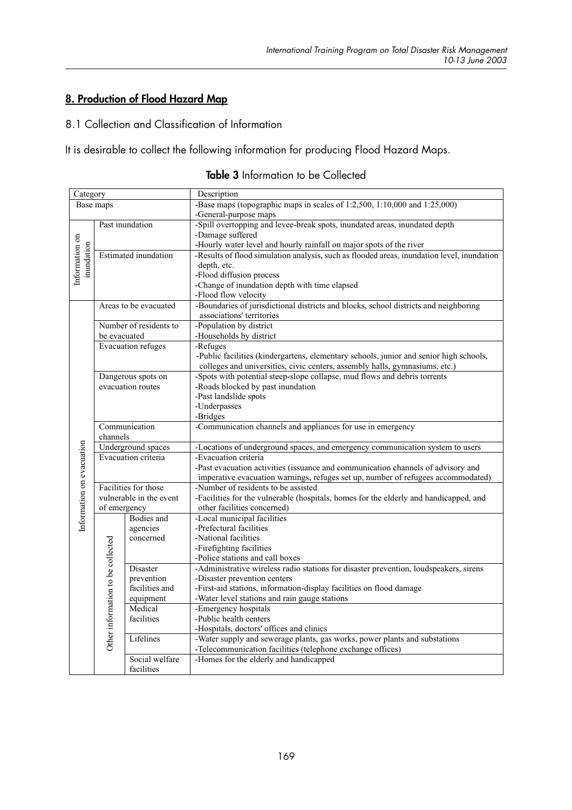## 8. Production of Flood Hazard Map

### 8.1 Collection and Classification of Information

It is desirable to collect the following information for producing Flood Hazard Maps.

| Category                  |                                   |                         | Description                                                                                |  |
|---------------------------|-----------------------------------|-------------------------|--------------------------------------------------------------------------------------------|--|
| Base maps                 |                                   |                         | -Base maps (topographic maps in scales of 1:2,500, 1:10,000 and 1:25,000)                  |  |
|                           |                                   |                         | -General-purpose maps                                                                      |  |
|                           |                                   | Past inundation         | -Spill overtopping and levee-break spots, inundated areas, inundated depth                 |  |
|                           |                                   |                         | -Damage suffered                                                                           |  |
|                           |                                   |                         | -Hourly water level and hourly rainfall on major spots of the river                        |  |
|                           | <b>Estimated</b> inundation       |                         | -Results of flood simulation analysis, such as flooded areas, inundation level, inundation |  |
|                           | Information on<br>inundation      |                         | depth, etc.                                                                                |  |
|                           |                                   |                         | -Flood diffusion process                                                                   |  |
|                           |                                   |                         | -Change of inundation depth with time elapsed                                              |  |
|                           |                                   |                         | -Flood flow velocity                                                                       |  |
| Areas to be evacuated     |                                   |                         | -Boundaries of jurisdictional districts and blocks, school districts and neighboring       |  |
| Number of residents to    |                                   |                         | associations' territories                                                                  |  |
|                           |                                   |                         | -Population by district                                                                    |  |
|                           | be evacuated                      |                         | -Households by district                                                                    |  |
| <b>Evacuation refuges</b> |                                   |                         | -Refuges                                                                                   |  |
|                           |                                   |                         | -Public facilities (kindergartens, elementary schools, junior and senior high schools,     |  |
|                           |                                   |                         | colleges and universities, civic centers, assembly halls, gymnasiums, etc.)                |  |
|                           |                                   | Dangerous spots on      | -Spots with potential steep-slope collapse, mud flows and debris torrents                  |  |
|                           |                                   | evacuation routes       | -Roads blocked by past inundation                                                          |  |
|                           |                                   |                         | -Past landslide spots                                                                      |  |
|                           |                                   |                         | -Underpasses                                                                               |  |
|                           |                                   |                         | -Bridges                                                                                   |  |
|                           | Communication                     |                         | -Communication channels and appliances for use in emergency                                |  |
|                           | channels                          |                         |                                                                                            |  |
|                           | Underground spaces                |                         | -Locations of underground spaces, and emergency communication system to users              |  |
|                           |                                   | Evacuation criteria     | -Evacuation criteria                                                                       |  |
|                           |                                   |                         | -Past evacuation activities (issuance and communication channels of advisory and           |  |
|                           |                                   |                         | imperative evacuation warnings, refuges set up, number of refugees accommodated)           |  |
|                           |                                   | Facilities for those    | -Number of residents to be assisted                                                        |  |
|                           |                                   | vulnerable in the event | -Facilities for the vulnerable (hospitals, homes for the elderly and handicapped, and      |  |
| Information on evacuation | of emergency                      |                         | other facilities concerned)                                                                |  |
|                           | Other information to be collected | <b>Bodies</b> and       | -Local municipal facilities                                                                |  |
|                           |                                   | agencies                | -Prefectural facilities                                                                    |  |
|                           |                                   | concerned               | -National facilities                                                                       |  |
|                           |                                   |                         | -Firefighting facilities                                                                   |  |
|                           |                                   |                         | -Police stations and call boxes                                                            |  |
|                           |                                   | Disaster                | -Administrative wireless radio stations for disaster prevention, loudspeakers, sirens      |  |
|                           |                                   | prevention              | -Disaster prevention centers                                                               |  |
|                           |                                   | facilities and          | -First-aid stations, information-display facilities on flood damage                        |  |
|                           |                                   | equipment               | -Water level stations and rain gauge stations                                              |  |
|                           |                                   | Medical                 | -Emergency hospitals                                                                       |  |
|                           |                                   | facilities              | -Public health centers                                                                     |  |
|                           |                                   |                         | -Hospitals, doctors' offices and clinics                                                   |  |
|                           |                                   | Lifelines               | -Water supply and sewerage plants, gas works, power plants and substations                 |  |
|                           |                                   |                         | -Telecommunication facilities (telephone exchange offices)                                 |  |
|                           |                                   | Social welfare          | -Homes for the elderly and handicapped                                                     |  |
|                           |                                   | facilities              |                                                                                            |  |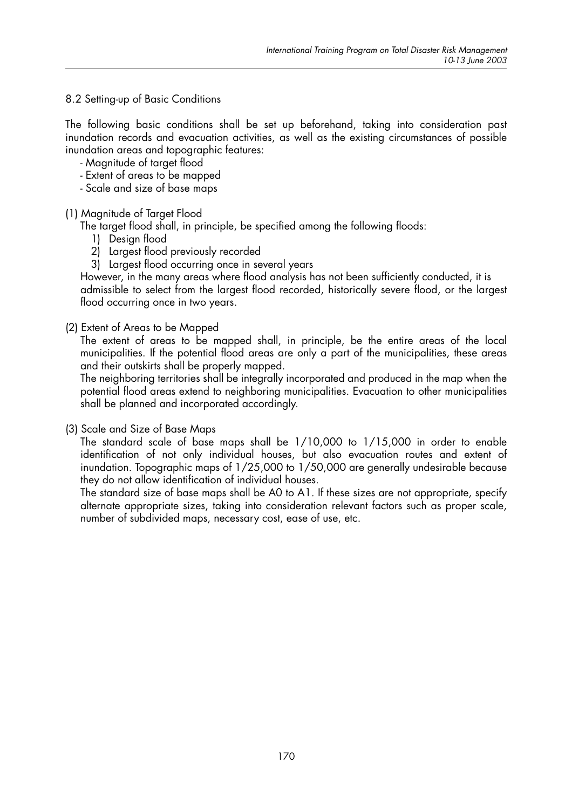#### 8.2 Setting-up of Basic Conditions

The following basic conditions shall be set up beforehand, taking into consideration past inundation records and evacuation activities, as well as the existing circumstances of possible inundation areas and topographic features:

- Magnitude of target flood
- Extent of areas to be mapped
- Scale and size of base maps

#### (1) Magnitude of Target Flood

The target flood shall, in principle, be specified among the following floods:

- 1) Design flood
- 2) Largest flood previously recorded
- 3) Largest flood occurring once in several years

However, in the many areas where flood analysis has not been sufficiently conducted, it is admissible to select from the largest flood recorded, historically severe flood, or the largest flood occurring once in two years.

(2) Extent of Areas to be Mapped

The extent of areas to be mapped shall, in principle, be the entire areas of the local municipalities. If the potential flood areas are only a part of the municipalities, these areas and their outskirts shall be properly mapped.

The neighboring territories shall be integrally incorporated and produced in the map when the potential flood areas extend to neighboring municipalities. Evacuation to other municipalities shall be planned and incorporated accordingly.

(3) Scale and Size of Base Maps

The standard scale of base maps shall be 1/10,000 to 1/15,000 in order to enable identification of not only individual houses, but also evacuation routes and extent of inundation. Topographic maps of 1/25,000 to 1/50,000 are generally undesirable because they do not allow identification of individual houses.

The standard size of base maps shall be A0 to A1. If these sizes are not appropriate, specify alternate appropriate sizes, taking into consideration relevant factors such as proper scale, number of subdivided maps, necessary cost, ease of use, etc.